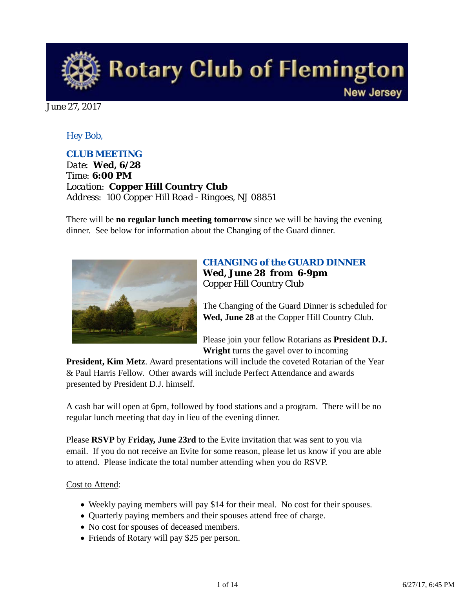

June 27, 2017

#### *Hey Bob,*

#### *CLUB MEETING*

*Date: Wed, 6/28 Time: 6:00 PM Location: Copper Hill Country Club Address: 100 Copper Hill Road - Ringoes, NJ 08851*

There will be **no regular lunch meeting tomorrow** since we will be having the evening dinner. See below for information about the Changing of the Guard dinner.



## *CHANGING of the GUARD DINNER* **Wed, June 28 from 6-9pm** Copper Hill Country Club

The Changing of the Guard Dinner is scheduled for **Wed, June 28** at the Copper Hill Country Club.

Please join your fellow Rotarians as **President D.J. Wright** turns the gavel over to incoming

**President, Kim Metz**. Award presentations will include the coveted Rotarian of the Year & Paul Harris Fellow. Other awards will include Perfect Attendance and awards presented by President D.J. himself.

A cash bar will open at 6pm, followed by food stations and a program. There will be no regular lunch meeting that day in lieu of the evening dinner.

Please **RSVP** by **Friday, June 23rd** to the Evite invitation that was sent to you via email. If you do not receive an Evite for some reason, please let us know if you are able to attend. Please indicate the total number attending when you do RSVP.

#### Cost to Attend:

- Weekly paying members will pay \$14 for their meal. No cost for their spouses.
- Quarterly paying members and their spouses attend free of charge.
- No cost for spouses of deceased members.
- Friends of Rotary will pay \$25 per person.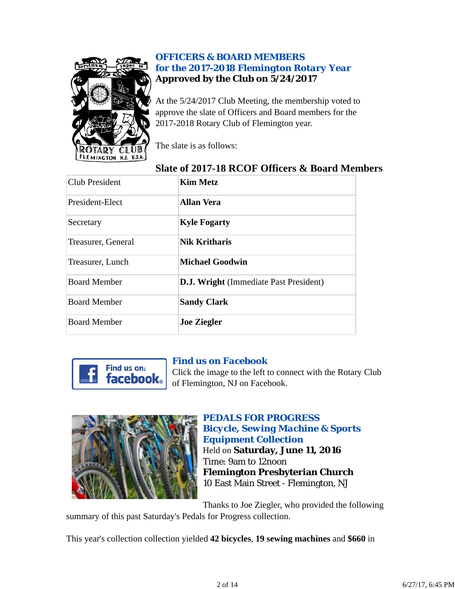

## *OFFICERS & BOARD MEMBERS for the 2017-2018 Flemington Rotary Year* **Approved by the Club on 5/24/2017**

At the 5/24/2017 Club Meeting, the membership voted to approve the slate of Officers and Board members for the 2017-2018 Rotary Club of Flemington year.

The slate is as follows:

# **Slate of 2017-18 RCOF Officers & Board Members**

| Club President      | <b>Kim Metz</b>                               |
|---------------------|-----------------------------------------------|
| President-Elect     | <b>Allan Vera</b>                             |
| Secretary           | <b>Kyle Fogarty</b>                           |
| Treasurer, General  | <b>Nik Kritharis</b>                          |
| Treasurer, Lunch    | <b>Michael Goodwin</b>                        |
| <b>Board Member</b> | <b>D.J. Wright</b> (Immediate Past President) |
| <b>Board Member</b> | <b>Sandy Clark</b>                            |
| <b>Board Member</b> | <b>Joe Ziegler</b>                            |



### *Find us on Facebook*

Click the image to the left to connect with the Rotary Club of Flemington, NJ on Facebook.



*PEDALS FOR PROGRESS Bicycle, Sewing Machine & Sports Equipment Collection* Held on **Saturday, June 11, 2016** Time: 9am to 12noon **Flemington Presbyterian Church** 10 East Main Street - Flemington, NJ

Thanks to Joe Ziegler, who provided the following summary of this past Saturday's Pedals for Progress collection.

This year's collection collection yielded **42 bicycles**, **19 sewing machines** and **\$660** in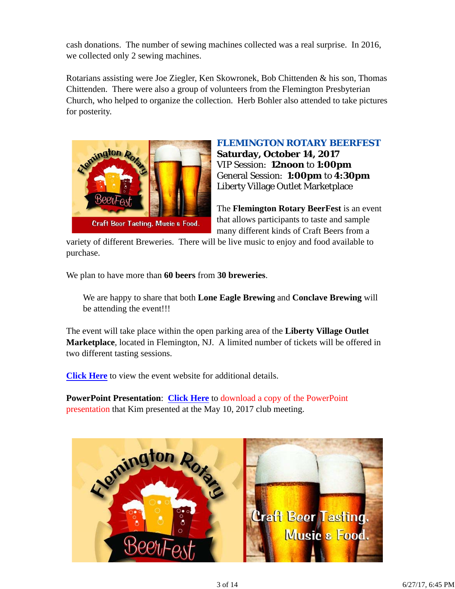cash donations. The number of sewing machines collected was a real surprise. In 2016, we collected only 2 sewing machines.

Rotarians assisting were Joe Ziegler, Ken Skowronek, Bob Chittenden & his son, Thomas Chittenden. There were also a group of volunteers from the Flemington Presbyterian Church, who helped to organize the collection. Herb Bohler also attended to take pictures for posterity.



*FLEMINGTON ROTARY BEERFEST* **Saturday, October 14, 2017** VIP Session: **12noon** to **1:00pm** General Session: **1:00pm** to **4:30pm** Liberty Village Outlet Marketplace

The **Flemington Rotary BeerFest** is an event that allows participants to taste and sample many different kinds of Craft Beers from a

variety of different Breweries. There will be live music to enjoy and food available to purchase.

We plan to have more than **60 beers** from **30 breweries**.

We are happy to share that both **Lone Eagle Brewing** and **Conclave Brewing** will be attending the event!!!

The event will take place within the open parking area of the **Liberty Village Outlet Marketplace**, located in Flemington, NJ. A limited number of tickets will be offered in two different tasting sessions.

**Click Here** to view the event website for additional details.

**PowerPoint Presentation**: **Click Here** to download a copy of the PowerPoint presentation that Kim presented at the May 10, 2017 club meeting.

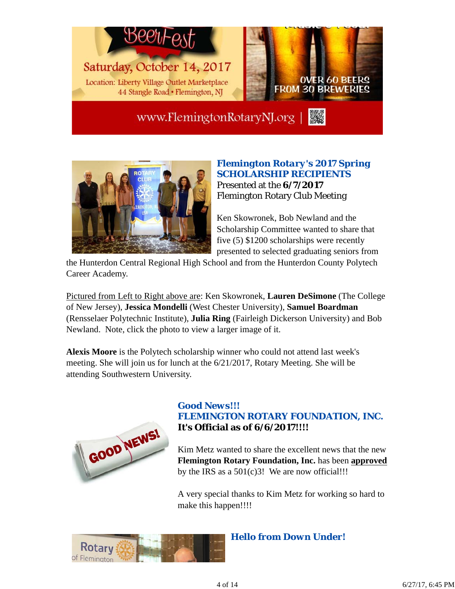

www.FlemingtonRotaryNJ.org |



### *Flemington Rotary's 2017 Spring SCHOLARSHIP RECIPIENTS* Presented at the **6/7/2017** Flemington Rotary Club Meeting

Ken Skowronek, Bob Newland and the Scholarship Committee wanted to share that five (5) \$1200 scholarships were recently presented to selected graduating seniors from

the Hunterdon Central Regional High School and from the Hunterdon County Polytech Career Academy.

Pictured from Left to Right above are: Ken Skowronek, **Lauren DeSimone** (The College of New Jersey), **Jessica Mondelli** (West Chester University), **Samuel Boardman** (Rensselaer Polytechnic Institute), **Julia Ring** (Fairleigh Dickerson University) and Bob Newland. Note, click the photo to view a larger image of it.

**Alexis Moore** is the Polytech scholarship winner who could not attend last week's meeting. She will join us for lunch at the 6/21/2017, Rotary Meeting. She will be attending Southwestern University.



### *Good News!!! FLEMINGTON ROTARY FOUNDATION, INC.* **It's Official as of 6/6/2017!!!!**

Kim Metz wanted to share the excellent news that the new **Flemington Rotary Foundation, Inc.** has been **approved** by the IRS as a  $501(c)3!$  We are now official!!!

A very special thanks to Kim Metz for working so hard to make this happen!!!!



*Hello from Down Under!*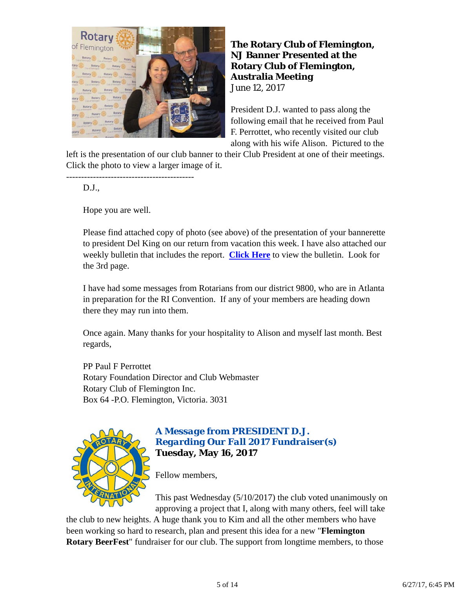

**The Rotary Club of Flemington, NJ Banner Presented at the Rotary Club of Flemington, Australia Meeting** June 12, 2017

President D.J. wanted to pass along the following email that he received from Paul F. Perrottet, who recently visited our club along with his wife Alison. Pictured to the

left is the presentation of our club banner to their Club President at one of their meetings. Click the photo to view a larger image of it.

D.J.,

Hope you are well.

-------------------------------------------

Please find attached copy of photo (see above) of the presentation of your bannerette to president Del King on our return from vacation this week. I have also attached our weekly bulletin that includes the report. **Click Here** to view the bulletin. Look for the 3rd page.

I have had some messages from Rotarians from our district 9800, who are in Atlanta in preparation for the RI Convention. If any of your members are heading down there they may run into them.

Once again. Many thanks for your hospitality to Alison and myself last month. Best regards,

PP Paul F Perrottet Rotary Foundation Director and Club Webmaster Rotary Club of Flemington Inc. Box 64 -P.O. Flemington, Victoria. 3031



### *A Message from PRESIDENT D.J. Regarding Our Fall 2017 Fundraiser(s)* **Tuesday, May 16, 2017**

Fellow members,

This past Wednesday (5/10/2017) the club voted unanimously on approving a project that I, along with many others, feel will take

the club to new heights. A huge thank you to Kim and all the other members who have been working so hard to research, plan and present this idea for a new "**Flemington Rotary BeerFest**" fundraiser for our club. The support from longtime members, to those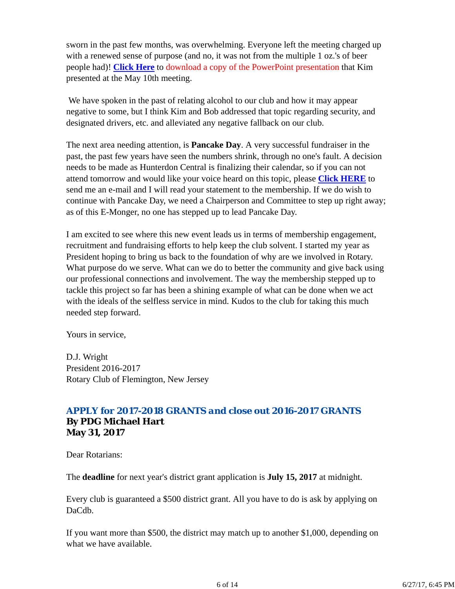sworn in the past few months, was overwhelming. Everyone left the meeting charged up with a renewed sense of purpose (and no, it was not from the multiple 1 oz.'s of beer people had)! **Click Here** to download a copy of the PowerPoint presentation that Kim presented at the May 10th meeting.

 We have spoken in the past of relating alcohol to our club and how it may appear negative to some, but I think Kim and Bob addressed that topic regarding security, and designated drivers, etc. and alleviated any negative fallback on our club.

The next area needing attention, is **Pancake Day**. A very successful fundraiser in the past, the past few years have seen the numbers shrink, through no one's fault. A decision needs to be made as Hunterdon Central is finalizing their calendar, so if you can not attend tomorrow and would like your voice heard on this topic, please **Click HERE** to send me an e-mail and I will read your statement to the membership. If we do wish to continue with Pancake Day, we need a Chairperson and Committee to step up right away; as of this E-Monger, no one has stepped up to lead Pancake Day.

I am excited to see where this new event leads us in terms of membership engagement, recruitment and fundraising efforts to help keep the club solvent. I started my year as President hoping to bring us back to the foundation of why are we involved in Rotary. What purpose do we serve. What can we do to better the community and give back using our professional connections and involvement. The way the membership stepped up to tackle this project so far has been a shining example of what can be done when we act with the ideals of the selfless service in mind. Kudos to the club for taking this much needed step forward.

Yours in service,

D.J. Wright President 2016-2017 Rotary Club of Flemington, New Jersey

#### *APPLY for 2017-2018 GRANTS and close out 2016-2017 GRANTS* **By PDG Michael Hart May 31, 2017**

Dear Rotarians:

The **deadline** for next year's district grant application is **July 15, 2017** at midnight.

Every club is guaranteed a \$500 district grant. All you have to do is ask by applying on DaCdb.

If you want more than \$500, the district may match up to another \$1,000, depending on what we have available.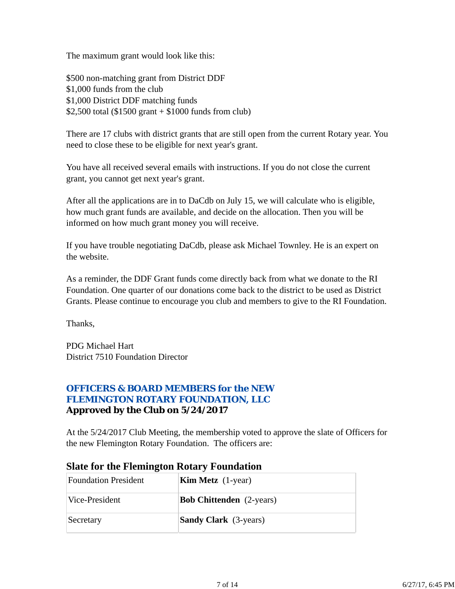The maximum grant would look like this:

\$500 non-matching grant from District DDF \$1,000 funds from the club \$1,000 District DDF matching funds \$2,500 total (\$1500 grant  $+$  \$1000 funds from club)

There are 17 clubs with district grants that are still open from the current Rotary year. You need to close these to be eligible for next year's grant.

You have all received several emails with instructions. If you do not close the current grant, you cannot get next year's grant.

After all the applications are in to DaCdb on July 15, we will calculate who is eligible, how much grant funds are available, and decide on the allocation. Then you will be informed on how much grant money you will receive.

If you have trouble negotiating DaCdb, please ask Michael Townley. He is an expert on the website.

As a reminder, the DDF Grant funds come directly back from what we donate to the RI Foundation. One quarter of our donations come back to the district to be used as District Grants. Please continue to encourage you club and members to give to the RI Foundation.

Thanks,

PDG Michael Hart District 7510 Foundation Director

### *OFFICERS & BOARD MEMBERS for the NEW FLEMINGTON ROTARY FOUNDATION, LLC* **Approved by the Club on 5/24/2017**

At the 5/24/2017 Club Meeting, the membership voted to approve the slate of Officers for the new Flemington Rotary Foundation. The officers are:

| <b>Foundation President</b> | <b>Kim Metz</b> $(1$ -year)     |
|-----------------------------|---------------------------------|
| Vice-President              | <b>Bob Chittenden</b> (2-years) |
| Secretary                   | <b>Sandy Clark</b> (3-years)    |

### **Slate for the Flemington Rotary Foundation**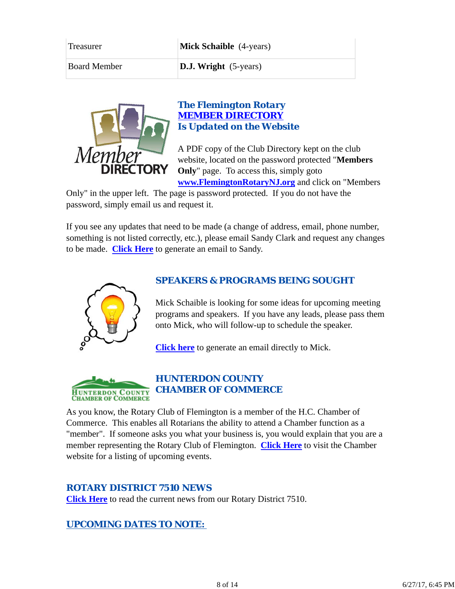| <b>Treasurer</b>    | <b>Mick Schaible</b> (4-years) |
|---------------------|--------------------------------|
| <b>Board Member</b> | <b>D.J. Wright</b> (5-years)   |



#### *The Flemington Rotary MEMBER DIRECTORY Is Updated on the Website*

A PDF copy of the Club Directory kept on the club website, located on the password protected "**Members Only**" page. To access this, simply goto **www.FlemingtonRotaryNJ.org** and click on "Members

Only" in the upper left. The page is password protected. If you do not have the password, simply email us and request it.

If you see any updates that need to be made (a change of address, email, phone number, something is not listed correctly, etc.), please email Sandy Clark and request any changes to be made. **Click Here** to generate an email to Sandy.



### *SPEAKERS & PROGRAMS BEING SOUGHT*

Mick Schaible is looking for some ideas for upcoming meeting programs and speakers. If you have any leads, please pass them onto Mick, who will follow-up to schedule the speaker.

**Click here** to generate an email directly to Mick.



As you know, the Rotary Club of Flemington is a member of the H.C. Chamber of Commerce. This enables all Rotarians the ability to attend a Chamber function as a "member". If someone asks you what your business is, you would explain that you are a member representing the Rotary Club of Flemington. **Click Here** to visit the Chamber website for a listing of upcoming events.

### *ROTARY DISTRICT 7510 NEWS*

**Click Here** to read the current news from our Rotary District 7510.

#### *UPCOMING DATES TO NOTE:*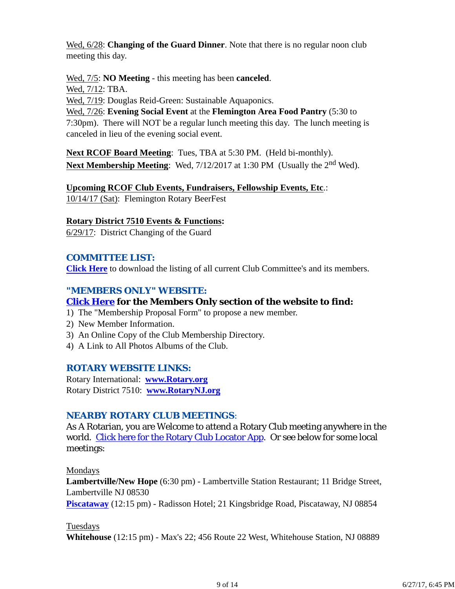Wed, 6/28: **Changing of the Guard Dinner**. Note that there is no regular noon club meeting this day.

Wed, 7/5: **NO Meeting** - this meeting has been **canceled**. Wed, 7/12: TBA.

Wed, 7/19: Douglas Reid-Green: Sustainable Aquaponics.

Wed, 7/26: **Evening Social Event** at the **Flemington Area Food Pantry** (5:30 to 7:30pm). There will NOT be a regular lunch meeting this day. The lunch meeting is canceled in lieu of the evening social event.

**Next RCOF Board Meeting**: Tues, TBA at 5:30 PM. (Held bi-monthly). **Next Membership Meeting:** Wed,  $7/12/2017$  at 1:30 PM (Usually the 2<sup>nd</sup> Wed).

**Upcoming RCOF Club Events, Fundraisers, Fellowship Events, Etc**.: 10/14/17 (Sat): Flemington Rotary BeerFest

### **Rotary District 7510 Events & Functions:**

6/29/17: District Changing of the Guard

## *COMMITTEE LIST:*

**Click Here** to download the listing of all current Club Committee's and its members.

## *"MEMBERS ONLY" WEBSITE:*

## **Click Here for the Members Only section of the website to find:**

- 1) The "Membership Proposal Form" to propose a new member.
- 2) New Member Information.
- 3) An Online Copy of the Club Membership Directory.
- 4) A Link to All Photos Albums of the Club.

### *ROTARY WEBSITE LINKS:*

Rotary International: **www.Rotary.org** Rotary District 7510: **www.RotaryNJ.org**

### *NEARBY ROTARY CLUB MEETINGS:*

As A Rotarian, you are Welcome to attend a Rotary Club meeting anywhere in the world. Click here for the Rotary Club Locator App. Or see below for some local meetings:

Mondays

**Lambertville/New Hope** (6:30 pm) - Lambertville Station Restaurant; 11 Bridge Street, Lambertville NJ 08530

**Piscataway** (12:15 pm) - Radisson Hotel; 21 Kingsbridge Road, Piscataway, NJ 08854

Tuesdays

**Whitehouse** (12:15 pm) - Max's 22; 456 Route 22 West, Whitehouse Station, NJ 08889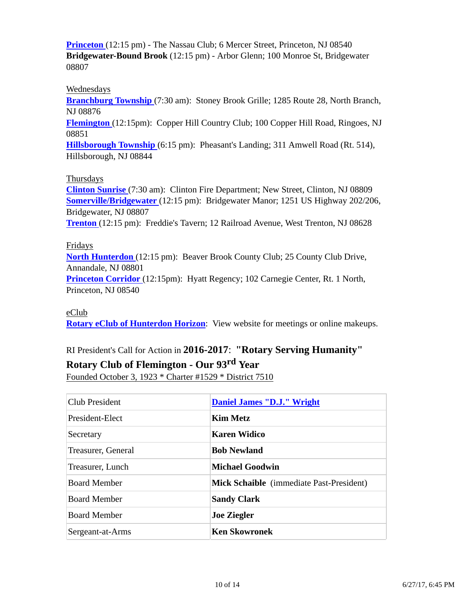**Princeton** (12:15 pm) - The Nassau Club; 6 Mercer Street, Princeton, NJ 08540 **Bridgewater-Bound Brook** (12:15 pm) - Arbor Glenn; 100 Monroe St, Bridgewater 08807

#### Wednesdays

**Branchburg Township** (7:30 am): Stoney Brook Grille; 1285 Route 28, North Branch, NJ 08876

**Flemington** (12:15pm): Copper Hill Country Club; 100 Copper Hill Road, Ringoes, NJ 08851

**Hillsborough Township** (6:15 pm): Pheasant's Landing; 311 Amwell Road (Rt. 514), Hillsborough, NJ 08844

#### Thursdays

**Clinton Sunrise** (7:30 am): Clinton Fire Department; New Street, Clinton, NJ 08809 **Somerville/Bridgewater** (12:15 pm): Bridgewater Manor; 1251 US Highway 202/206, Bridgewater, NJ 08807 **Trenton** (12:15 pm): Freddie's Tavern; 12 Railroad Avenue, West Trenton, NJ 08628

#### Fridays

**North Hunterdon** (12:15 pm): Beaver Brook County Club; 25 County Club Drive, Annandale, NJ 08801 **Princeton Corridor** (12:15pm): Hyatt Regency; 102 Carnegie Center, Rt. 1 North, Princeton, NJ 08540

#### eClub

**Rotary eClub of Hunterdon Horizon**: View website for meetings or online makeups.

## RI President's Call for Action in **2016-2017**: **"Rotary Serving Humanity"**

#### **Rotary Club of Flemington - Our 93rd Year**

Founded October 3, 1923 \* Charter #1529 \* District 7510

| <b>Club President</b> | <b>Daniel James "D.J." Wright</b>               |
|-----------------------|-------------------------------------------------|
| President-Elect       | <b>Kim Metz</b>                                 |
| Secretary             | <b>Karen Widico</b>                             |
| Treasurer, General    | <b>Bob Newland</b>                              |
| Treasurer, Lunch      | Michael Goodwin                                 |
| <b>Board Member</b>   | <b>Mick Schaible</b> (immediate Past-President) |
| <b>Board Member</b>   | <b>Sandy Clark</b>                              |
| <b>Board Member</b>   | <b>Joe Ziegler</b>                              |
| Sergeant-at-Arms      | <b>Ken Skowronek</b>                            |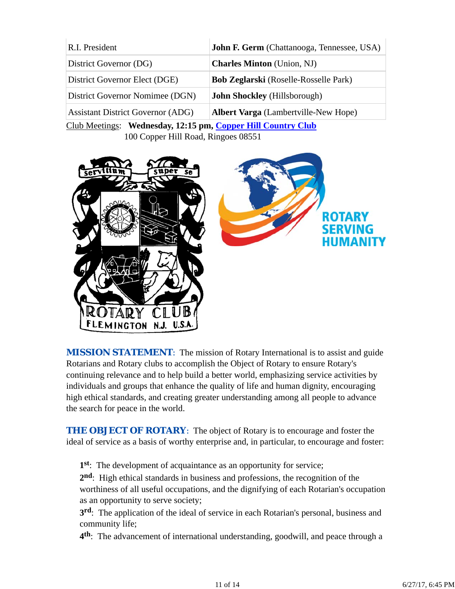| R.I. President                           | John F. Germ (Chattanooga, Tennessee, USA)   |
|------------------------------------------|----------------------------------------------|
| District Governor (DG)                   | <b>Charles Minton</b> (Union, NJ)            |
| District Governor Elect (DGE)            | <b>Bob Zeglarski</b> (Roselle-Rosselle Park) |
| District Governor Nomimee (DGN)          | <b>John Shockley</b> (Hillsborough)          |
| <b>Assistant District Governor (ADG)</b> | <b>Albert Varga</b> (Lambertville-New Hope)  |

Club Meetings: **Wednesday, 12:15 pm, Copper Hill Country Club** 100 Copper Hill Road, Ringoes 08551



*MISSION STATEMENT*: The mission of Rotary International is to assist and guide Rotarians and Rotary clubs to accomplish the Object of Rotary to ensure Rotary's continuing relevance and to help build a better world, emphasizing service activities by individuals and groups that enhance the quality of life and human dignity, encouraging high ethical standards, and creating greater understanding among all people to advance the search for peace in the world.

**THE OBJECT OF ROTARY:** The object of Rotary is to encourage and foster the ideal of service as a basis of worthy enterprise and, in particular, to encourage and foster:

**1st**: The development of acquaintance as an opportunity for service;

**2nd**: High ethical standards in business and professions, the recognition of the worthiness of all useful occupations, and the dignifying of each Rotarian's occupation as an opportunity to serve society;

**3rd**: The application of the ideal of service in each Rotarian's personal, business and community life;

**4th**: The advancement of international understanding, goodwill, and peace through a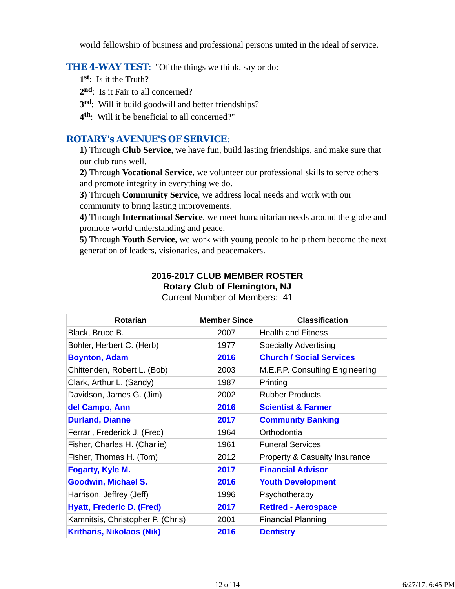world fellowship of business and professional persons united in the ideal of service.

#### **THE 4-WAY TEST:** "Of the things we think, say or do:

- **1st**: Is it the Truth?
- 2<sup>nd</sup>: Is it Fair to all concerned?
- **3rd**: Will it build goodwill and better friendships?
- **4th**: Will it be beneficial to all concerned?"

#### *ROTARY's AVENUE'S OF SERVICE*:

**1)** Through **Club Service**, we have fun, build lasting friendships, and make sure that our club runs well.

**2)** Through **Vocational Service**, we volunteer our professional skills to serve others and promote integrity in everything we do.

**3)** Through **Community Service**, we address local needs and work with our community to bring lasting improvements.

**4)** Through **International Service**, we meet humanitarian needs around the globe and promote world understanding and peace.

**5)** Through **Youth Service**, we work with young people to help them become the next generation of leaders, visionaries, and peacemakers.

## **2016-2017 CLUB MEMBER ROSTER Rotary Club of Flemington, NJ**

| <b>Rotarian</b>                   | <b>Member Since</b> | <b>Classification</b>                    |
|-----------------------------------|---------------------|------------------------------------------|
| Black, Bruce B.                   | 2007                | <b>Health and Fitness</b>                |
| Bohler, Herbert C. (Herb)         | 1977                | <b>Specialty Advertising</b>             |
| <b>Boynton, Adam</b>              | 2016                | <b>Church / Social Services</b>          |
| Chittenden, Robert L. (Bob)       | 2003                | M.E.F.P. Consulting Engineering          |
| Clark, Arthur L. (Sandy)          | 1987                | Printing                                 |
| Davidson, James G. (Jim)          | 2002                | <b>Rubber Products</b>                   |
| del Campo, Ann                    | 2016                | <b>Scientist &amp; Farmer</b>            |
| <b>Durland, Dianne</b>            | 2017                | <b>Community Banking</b>                 |
| Ferrari, Frederick J. (Fred)      | 1964                | Orthodontia                              |
| Fisher, Charles H. (Charlie)      | 1961                | <b>Funeral Services</b>                  |
| Fisher, Thomas H. (Tom)           | 2012                | <b>Property &amp; Casualty Insurance</b> |
| Fogarty, Kyle M.                  | 2017                | <b>Financial Advisor</b>                 |
| <b>Goodwin, Michael S.</b>        | 2016                | <b>Youth Development</b>                 |
| Harrison, Jeffrey (Jeff)          | 1996                | Psychotherapy                            |
| <b>Hyatt, Frederic D. (Fred)</b>  | 2017                | <b>Retired - Aerospace</b>               |
| Kamnitsis, Christopher P. (Chris) | 2001                | <b>Financial Planning</b>                |
| <b>Kritharis, Nikolaos (Nik)</b>  | 2016                | <b>Dentistry</b>                         |

Current Number of Members: 41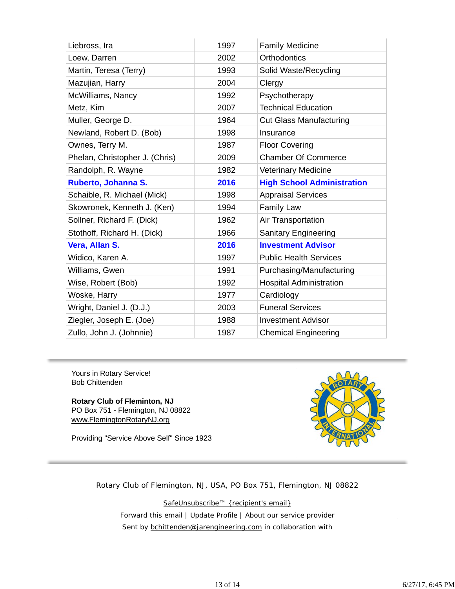| Liebross, Ira                  | 1997 | <b>Family Medicine</b>            |
|--------------------------------|------|-----------------------------------|
| Loew, Darren                   | 2002 | <b>Orthodontics</b>               |
| Martin, Teresa (Terry)         | 1993 | Solid Waste/Recycling             |
| Mazujian, Harry                | 2004 | Clergy                            |
| McWilliams, Nancy              | 1992 | Psychotherapy                     |
| Metz, Kim                      | 2007 | <b>Technical Education</b>        |
| Muller, George D.              | 1964 | <b>Cut Glass Manufacturing</b>    |
| Newland, Robert D. (Bob)       | 1998 | Insurance                         |
| Ownes, Terry M.                | 1987 | <b>Floor Covering</b>             |
| Phelan, Christopher J. (Chris) | 2009 | <b>Chamber Of Commerce</b>        |
| Randolph, R. Wayne             | 1982 | <b>Veterinary Medicine</b>        |
| Ruberto, Johanna S.            | 2016 | <b>High School Administration</b> |
| Schaible, R. Michael (Mick)    | 1998 | <b>Appraisal Services</b>         |
| Skowronek, Kenneth J. (Ken)    | 1994 | <b>Family Law</b>                 |
| Sollner, Richard F. (Dick)     | 1962 | Air Transportation                |
| Stothoff, Richard H. (Dick)    | 1966 | Sanitary Engineering              |
| Vera, Allan S.                 | 2016 | <b>Investment Advisor</b>         |
| Widico, Karen A.               | 1997 | <b>Public Health Services</b>     |
| Williams, Gwen                 | 1991 | Purchasing/Manufacturing          |
| Wise, Robert (Bob)             | 1992 | <b>Hospital Administration</b>    |
| Woske, Harry                   | 1977 | Cardiology                        |
| Wright, Daniel J. (D.J.)       | 2003 | <b>Funeral Services</b>           |
| Ziegler, Joseph E. (Joe)       |      |                                   |
|                                | 1988 | <b>Investment Advisor</b>         |

Yours in Rotary Service! Bob Chittenden

**Rotary Club of Fleminton, NJ** PO Box 751 - Flemington, NJ 08822 www.FlemingtonRotaryNJ.org

Providing "Service Above Self" Since 1923



Rotary Club of Flemington, NJ, USA, PO Box 751, Flemington, NJ 08822

SafeUnsubscribe™ {recipient's email} Forward this email | Update Profile | About our service provider Sent by bchittenden@jarengineering.com in collaboration with